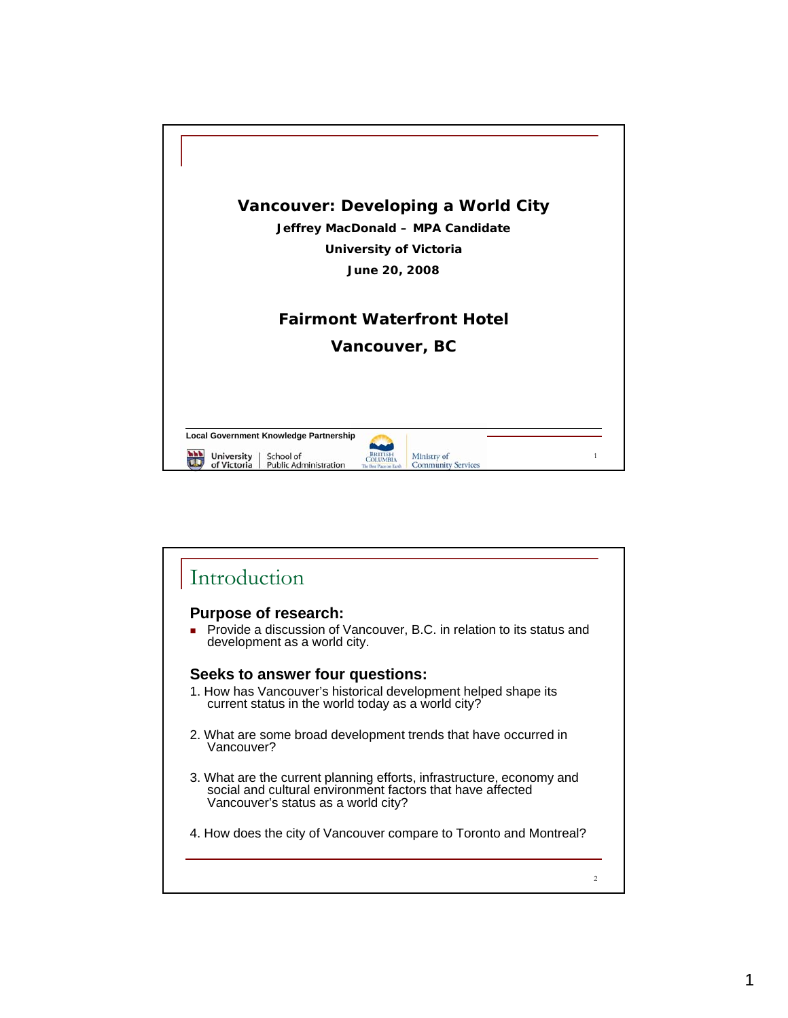

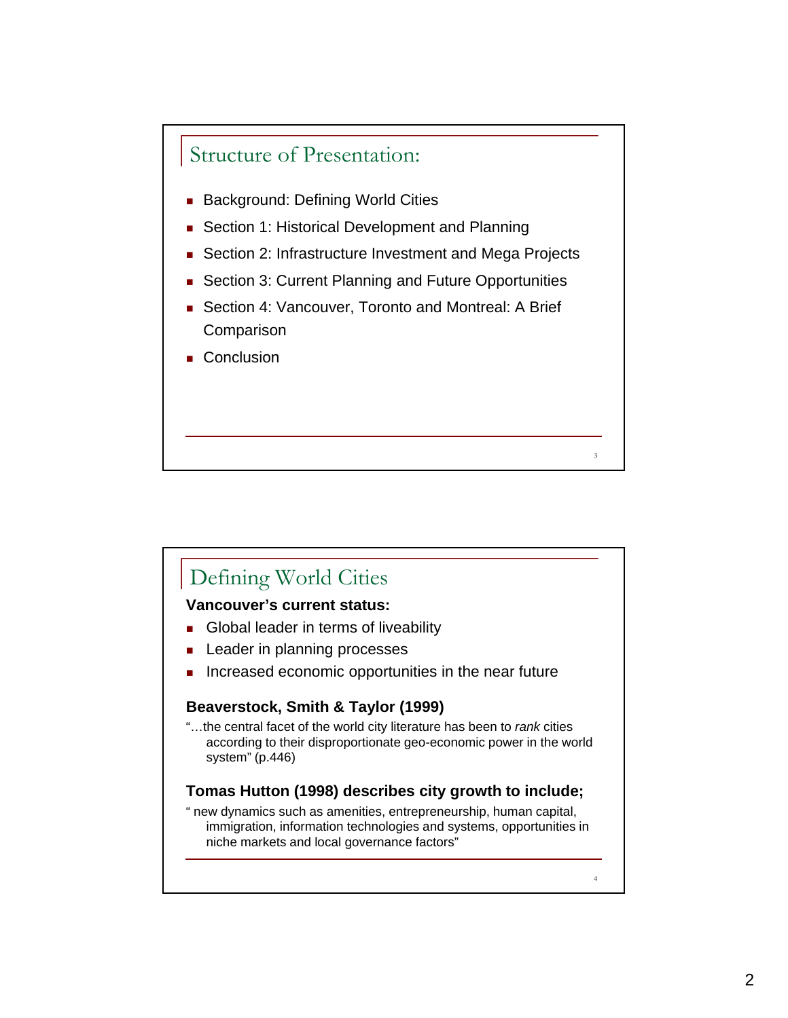

- **Background: Defining World Cities**
- Section 1: Historical Development and Planning
- Section 2: Infrastructure Investment and Mega Projects
- **Section 3: Current Planning and Future Opportunities**
- Section 4: Vancouver, Toronto and Montreal: A Brief **Comparison**

3

4

**Conclusion** 

## Defining World Cities

## **Vancouver's current status:**

- Global leader in terms of liveability
- Leader in planning processes
- Increased economic opportunities in the near future

## **Beaverstock, Smith & Taylor (1999)**

"…the central facet of the world city literature has been to *rank* cities according to their disproportionate geo-economic power in the world system" (p.446)

## **Tomas Hutton (1998) describes city growth to include;**

" new dynamics such as amenities, entrepreneurship, human capital, immigration, information technologies and systems, opportunities in niche markets and local governance factors"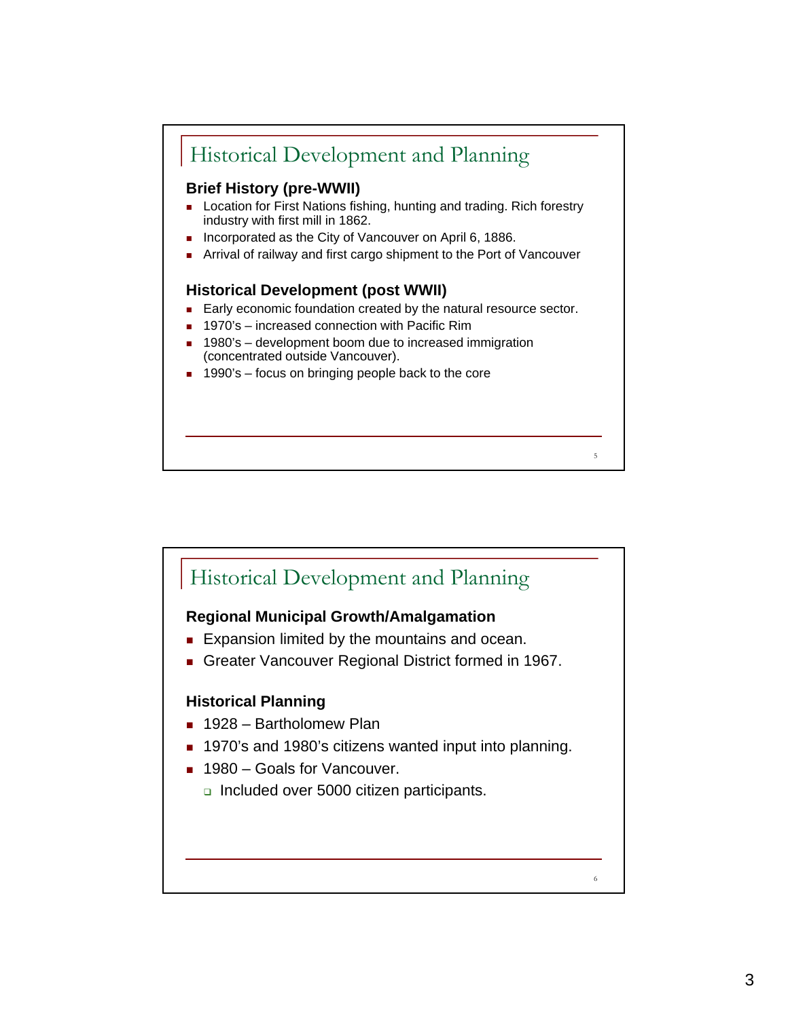

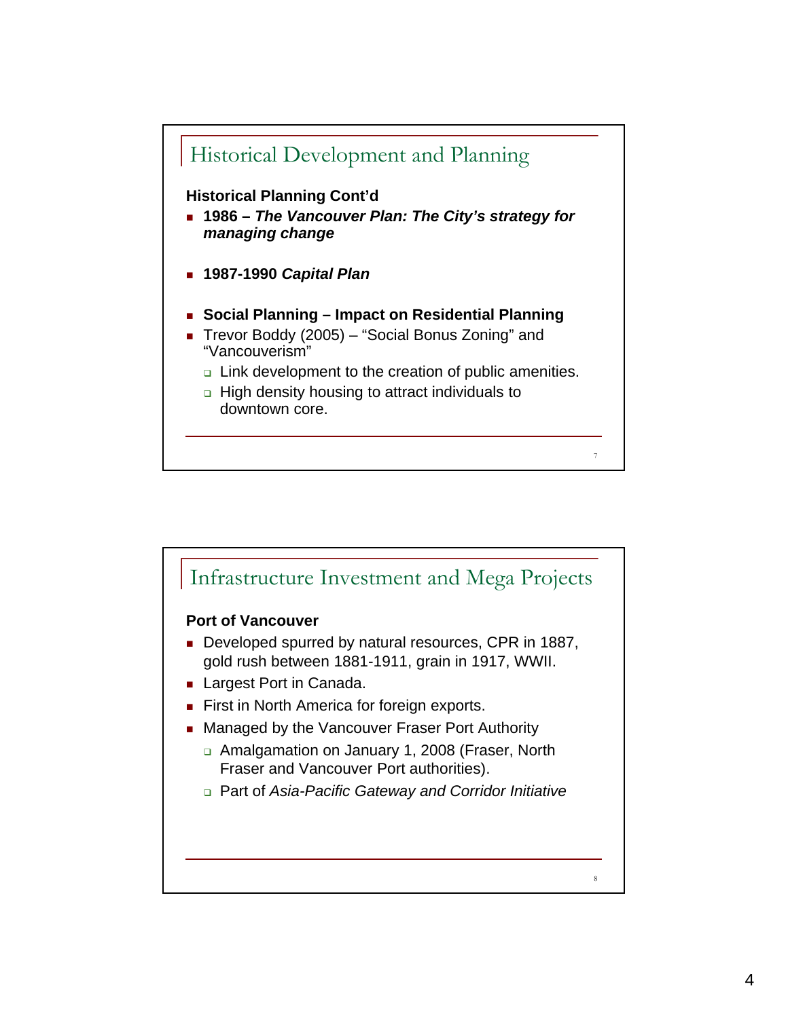

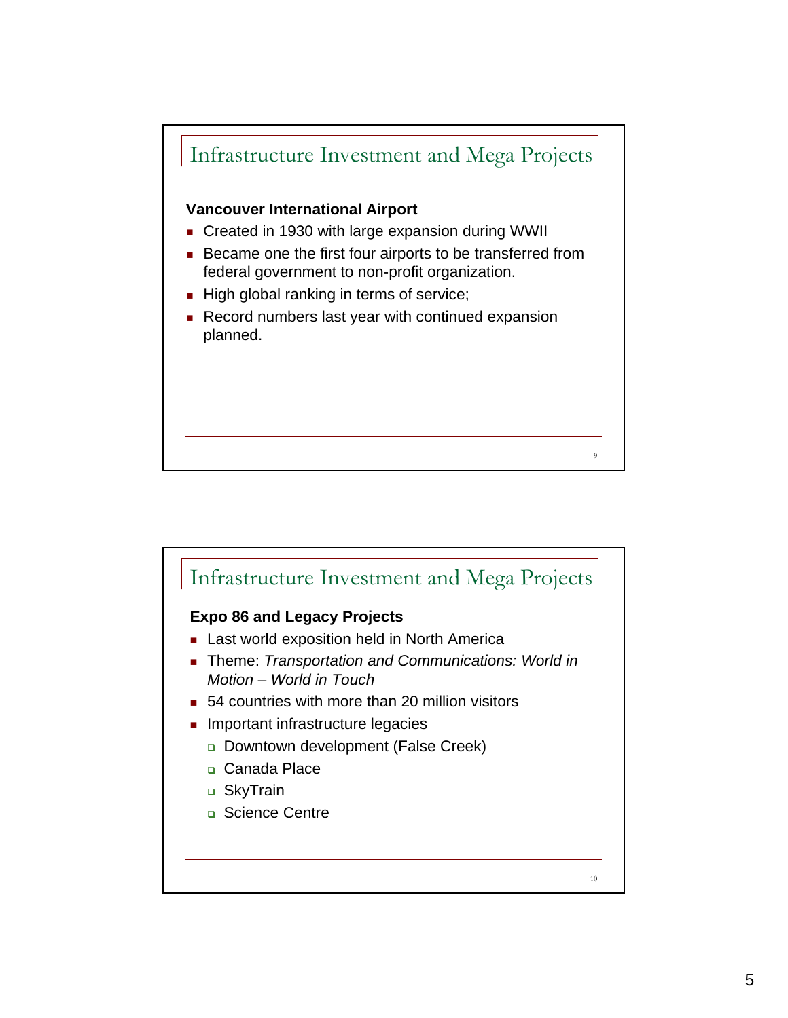

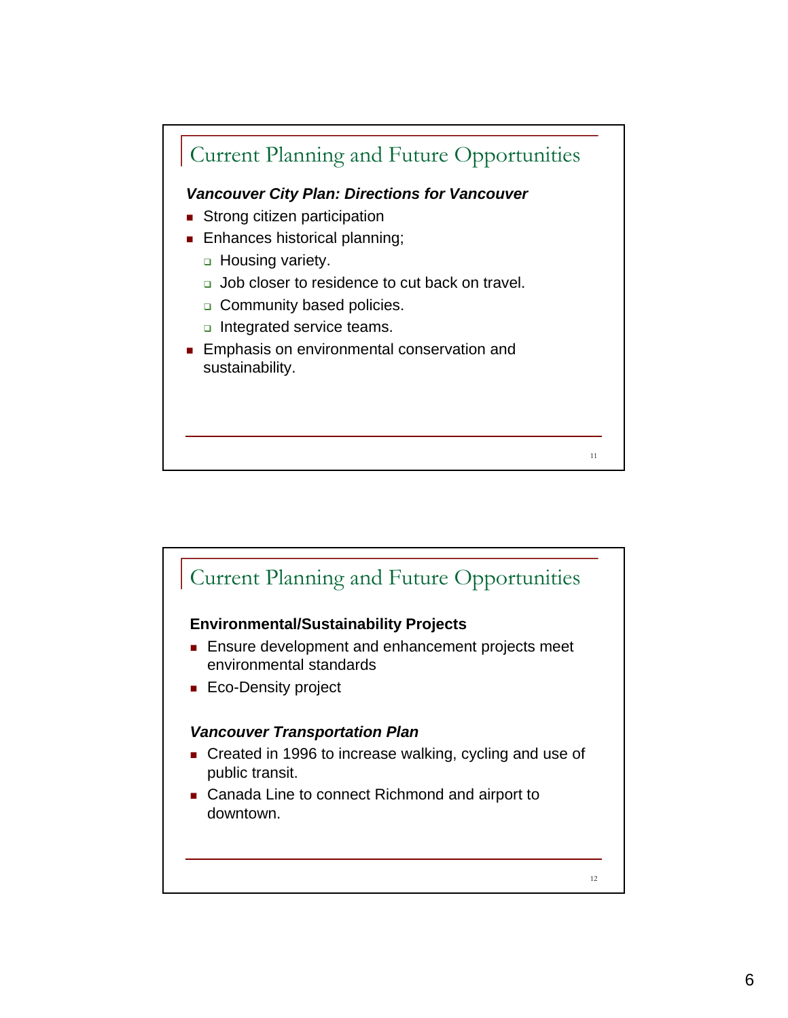

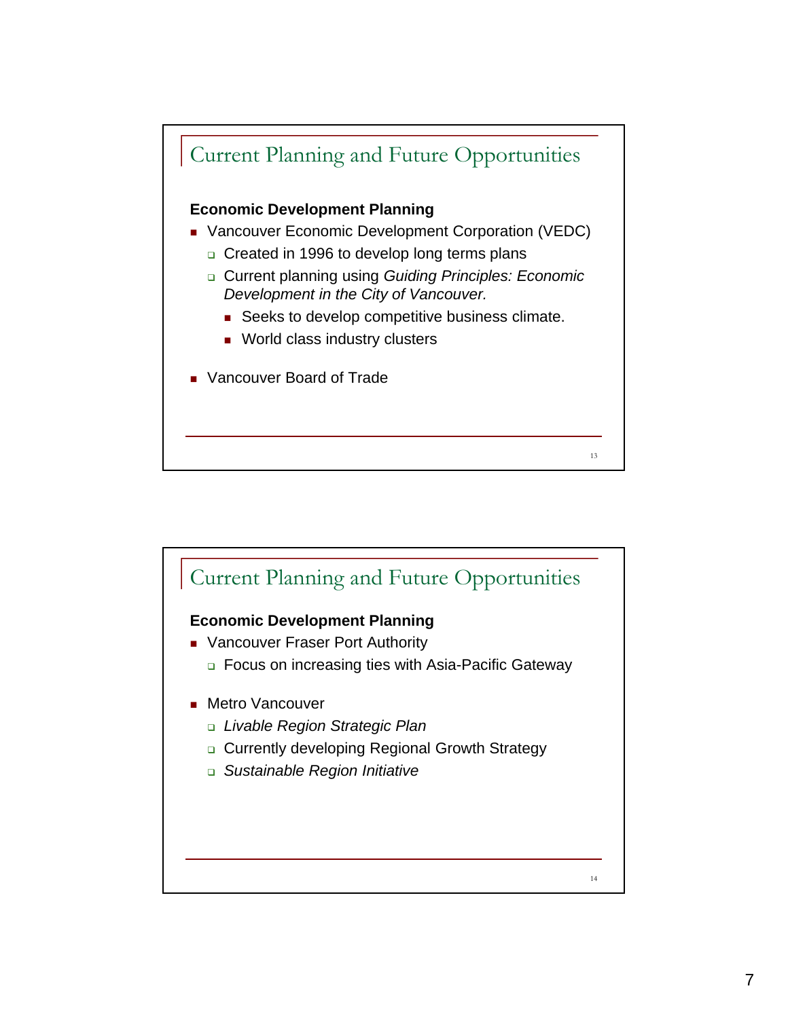

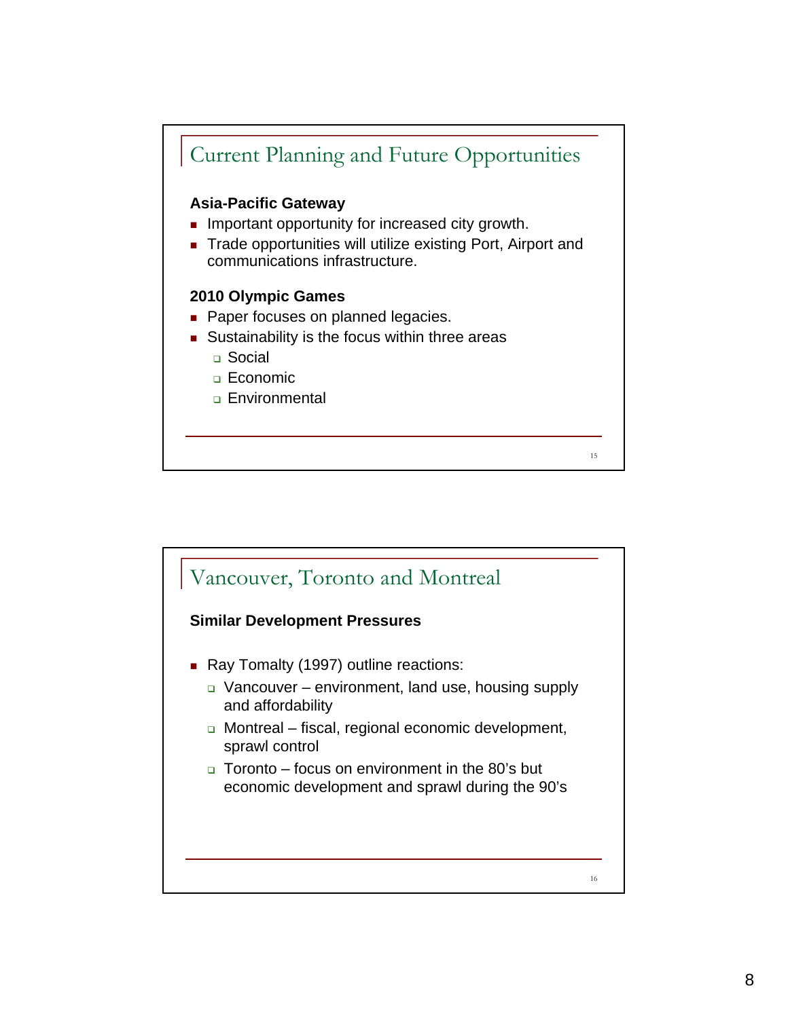

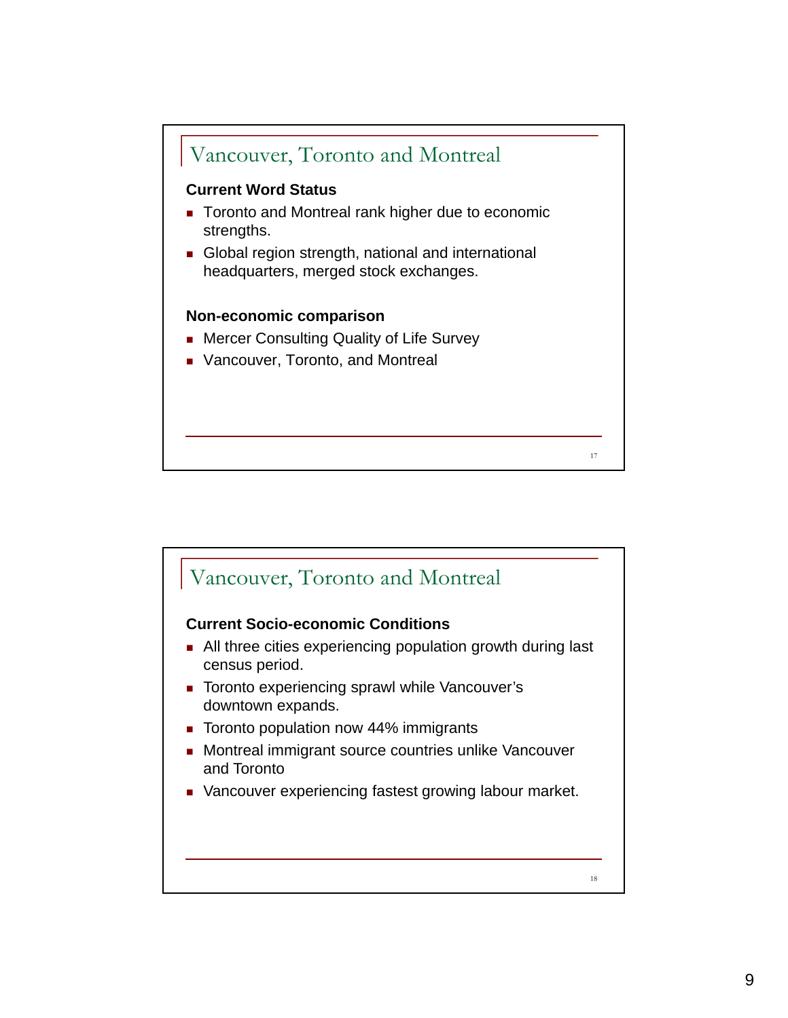